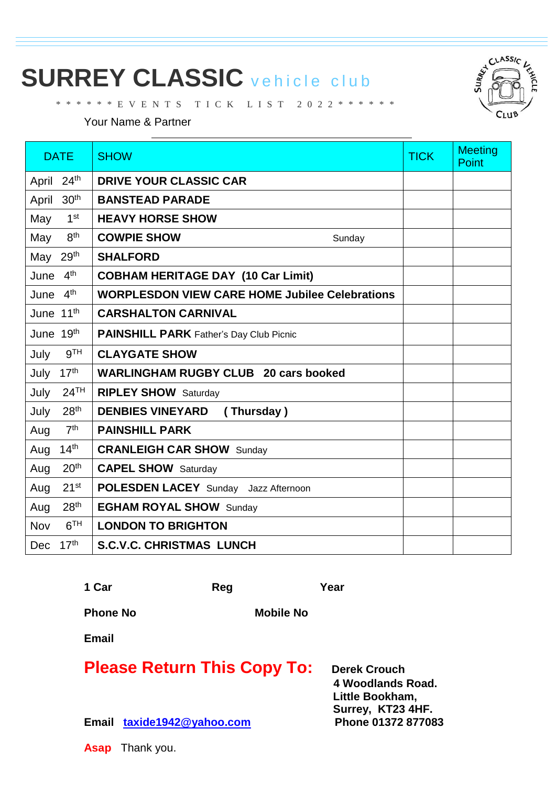## **SURREY CLASSIC** vehicle club

\* \* \* \* \* \* E V E N T S T I C K L I S T 2 0 2 2 \* \* \* \* \* \*

Your Name & Partner

| <b>DATE</b>                    | <b>SHOW</b>                                           | <b>TICK</b> | <b>Meeting</b><br>Point |
|--------------------------------|-------------------------------------------------------|-------------|-------------------------|
| 24 <sup>th</sup><br>April      | <b>DRIVE YOUR CLASSIC CAR</b>                         |             |                         |
| 30 <sup>th</sup><br>April      | <b>BANSTEAD PARADE</b>                                |             |                         |
| 1 <sup>st</sup><br>May         | <b>HEAVY HORSE SHOW</b>                               |             |                         |
| 8 <sup>th</sup><br>May         | <b>COWPIE SHOW</b><br>Sunday                          |             |                         |
| May 29th                       | <b>SHALFORD</b>                                       |             |                         |
| 4 <sup>th</sup><br>June        | <b>COBHAM HERITAGE DAY (10 Car Limit)</b>             |             |                         |
| June 4th                       | <b>WORPLESDON VIEW CARE HOME Jubilee Celebrations</b> |             |                         |
| June 11th                      | <b>CARSHALTON CARNIVAL</b>                            |             |                         |
| June 19 <sup>th</sup>          | <b>PAINSHILL PARK</b> Father's Day Club Picnic        |             |                         |
| 9 <sup>TH</sup><br>July        | <b>CLAYGATE SHOW</b>                                  |             |                         |
| 17 <sup>th</sup><br>July       | <b>WARLINGHAM RUGBY CLUB 20 cars booked</b>           |             |                         |
| 24 <sup>TH</sup><br>July       | <b>RIPLEY SHOW</b> Saturday                           |             |                         |
| 28 <sup>th</sup><br>July       | <b>DENBIES VINEYARD</b><br>(Thursday)                 |             |                         |
| 7 <sup>th</sup><br>Aug         | <b>PAINSHILL PARK</b>                                 |             |                         |
| 14 <sup>th</sup><br>Aug        | <b>CRANLEIGH CAR SHOW Sunday</b>                      |             |                         |
| 20 <sup>th</sup><br>Aug        | <b>CAPEL SHOW</b> Saturday                            |             |                         |
| 21 <sup>st</sup><br>Aug        | <b>POLESDEN LACEY</b> Sunday Jazz Afternoon           |             |                         |
| 28 <sup>th</sup><br>Aug        | <b>EGHAM ROYAL SHOW Sunday</b>                        |             |                         |
| 6 <sup>TH</sup><br>Nov         | <b>LONDON TO BRIGHTON</b>                             |             |                         |
| 17 <sup>th</sup><br><b>Dec</b> | <b>S.C.V.C. CHRISTMAS LUNCH</b>                       |             |                         |

1 Car **Reg Reg Xear** 

**Phone No Mobile No Mobile No** 

**Email**

| <b>Please Return This Copy To:</b> |  |  |  |
|------------------------------------|--|--|--|
|------------------------------------|--|--|--|

**Perek Crouch 4 Woodlands Road. Little Bookham, Surrey, KT23 4HF.**

**Email [taxide1942@yahoo.com](mailto:taxide1942@yahoo.com) Phone 01372 877083**

**Asap** Thank you.